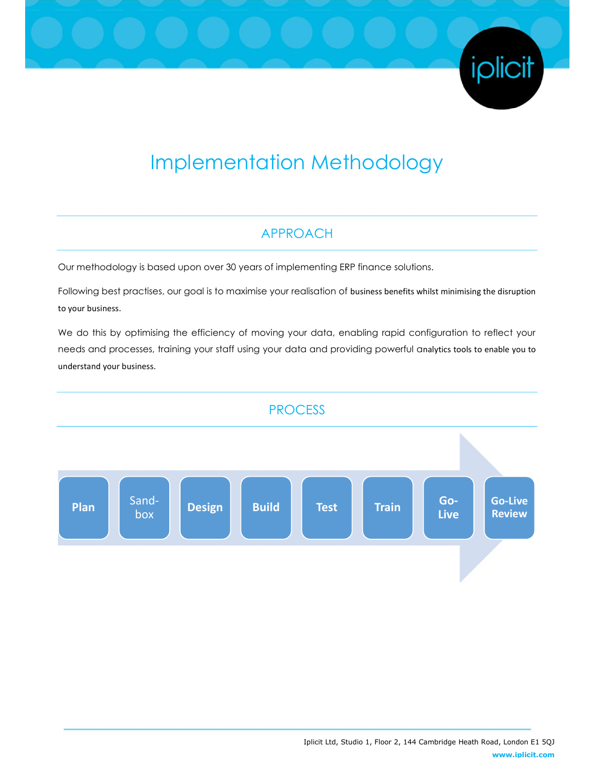# Implementation Methodology

# APPROACH

Our methodology is based upon over 30 years of implementing ERP finance solutions.

Following best practises, our goal is to maximise your realisation of business benefits whilst minimising the disruption to your business.

We do this by optimising the efficiency of moving your data, enabling rapid configuration to reflect your needs and processes, training your staff using your data and providing powerful analytics tools to enable you to understand your business.



iplicit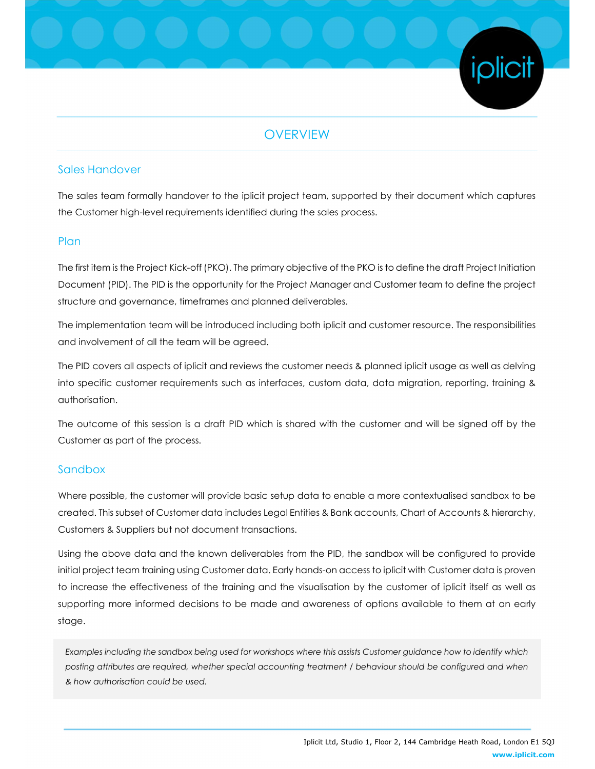## **OVERVIEW**

#### Sales Handover

The sales team formally handover to the iplicit project team, supported by their document which captures the Customer high-level requirements identified during the sales process.

#### **Plan**

The first item is the Project Kick-off (PKO). The primary objective of the PKO is to define the draft Project Initiation Document (PID). The PID is the opportunity for the Project Manager and Customer team to define the project structure and governance, timeframes and planned deliverables.

The implementation team will be introduced including both iplicit and customer resource. The responsibilities and involvement of all the team will be agreed.

The PID covers all aspects of iplicit and reviews the customer needs & planned iplicit usage as well as delving into specific customer requirements such as interfaces, custom data, data migration, reporting, training & authorisation.

The outcome of this session is a draft PID which is shared with the customer and will be signed off by the Customer as part of the process.

#### Sandbox

Where possible, the customer will provide basic setup data to enable a more contextualised sandbox to be created. This subset of Customer data includes Legal Entities & Bank accounts, Chart of Accounts & hierarchy, Customers & Suppliers but not document transactions.

Using the above data and the known deliverables from the PID, the sandbox will be configured to provide initial project team training using Customer data. Early hands-on access to iplicit with Customer data is proven to increase the effectiveness of the training and the visualisation by the customer of iplicit itself as well as supporting more informed decisions to be made and awareness of options available to them at an early stage.

Examples including the sandbox being used for workshops where this assists Customer guidance how to identify which posting attributes are required, whether special accounting treatment / behaviour should be configured and when & how authorisation could be used.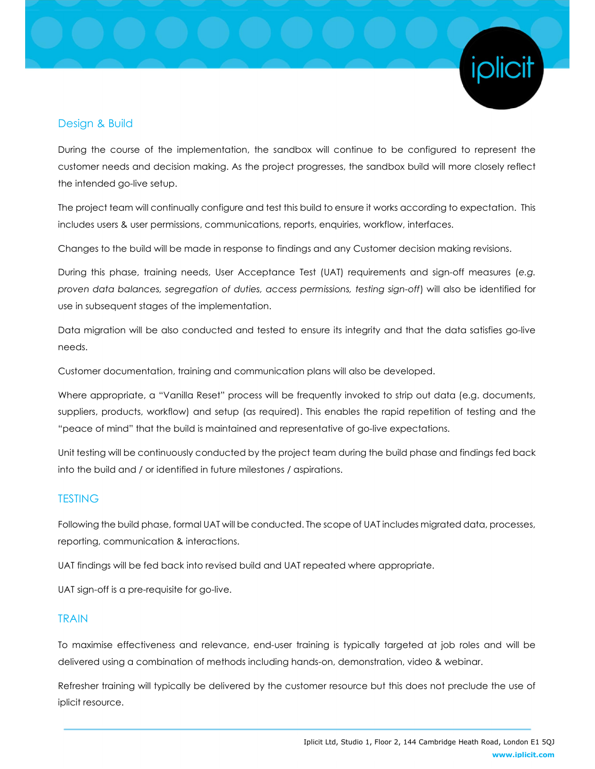

#### Design & Build

During the course of the implementation, the sandbox will continue to be configured to represent the customer needs and decision making. As the project progresses, the sandbox build will more closely reflect the intended go-live setup.

The project team will continually configure and test this build to ensure it works according to expectation. This includes users & user permissions, communications, reports, enquiries, workflow, interfaces.

Changes to the build will be made in response to findings and any Customer decision making revisions.

During this phase, training needs, User Acceptance Test (UAT) requirements and sign-off measures (e.g. proven data balances, segregation of duties, access permissions, testing sign-off) will also be identified for use in subsequent stages of the implementation.

Data migration will be also conducted and tested to ensure its integrity and that the data satisfies go-live needs.

Customer documentation, training and communication plans will also be developed.

Where appropriate, a "Vanilla Reset" process will be frequently invoked to strip out data (e.g. documents, suppliers, products, workflow) and setup (as required). This enables the rapid repetition of testing and the "peace of mind" that the build is maintained and representative of go-live expectations.

Unit testing will be continuously conducted by the project team during the build phase and findings fed back into the build and / or identified in future milestones / aspirations.

#### **TESTING**

Following the build phase, formal UAT will be conducted. The scope of UAT includes migrated data, processes, reporting, communication & interactions.

UAT findings will be fed back into revised build and UAT repeated where appropriate.

UAT sign-off is a pre-requisite for go-live.

#### TRAIN

To maximise effectiveness and relevance, end-user training is typically targeted at job roles and will be delivered using a combination of methods including hands-on, demonstration, video & webinar.

Refresher training will typically be delivered by the customer resource but this does not preclude the use of iplicit resource.